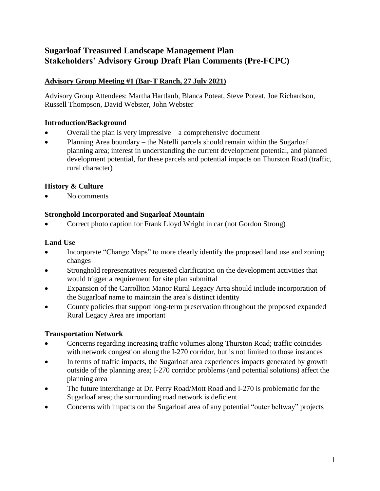# **Sugarloaf Treasured Landscape Management Plan Stakeholders' Advisory Group Draft Plan Comments (Pre-FCPC)**

# **Advisory Group Meeting #1 (Bar-T Ranch, 27 July 2021)**

Advisory Group Attendees: Martha Hartlaub, Blanca Poteat, Steve Poteat, Joe Richardson, Russell Thompson, David Webster, John Webster

## **Introduction/Background**

- Overall the plan is very impressive a comprehensive document
- Planning Area boundary the Natelli parcels should remain within the Sugarloaf planning area; interest in understanding the current development potential, and planned development potential, for these parcels and potential impacts on Thurston Road (traffic, rural character)

# **History & Culture**

No comments

## **Stronghold Incorporated and Sugarloaf Mountain**

Correct photo caption for Frank Lloyd Wright in car (not Gordon Strong)

## **Land Use**

- Incorporate "Change Maps" to more clearly identify the proposed land use and zoning changes
- Stronghold representatives requested clarification on the development activities that would trigger a requirement for site plan submittal
- Expansion of the Carrollton Manor Rural Legacy Area should include incorporation of the Sugarloaf name to maintain the area's distinct identity
- County policies that support long-term preservation throughout the proposed expanded Rural Legacy Area are important

## **Transportation Network**

- Concerns regarding increasing traffic volumes along Thurston Road; traffic coincides with network congestion along the I-270 corridor, but is not limited to those instances
- In terms of traffic impacts, the Sugarloaf area experiences impacts generated by growth outside of the planning area; I-270 corridor problems (and potential solutions) affect the planning area
- The future interchange at Dr. Perry Road/Mott Road and I-270 is problematic for the Sugarloaf area; the surrounding road network is deficient
- Concerns with impacts on the Sugarloaf area of any potential "outer beltway" projects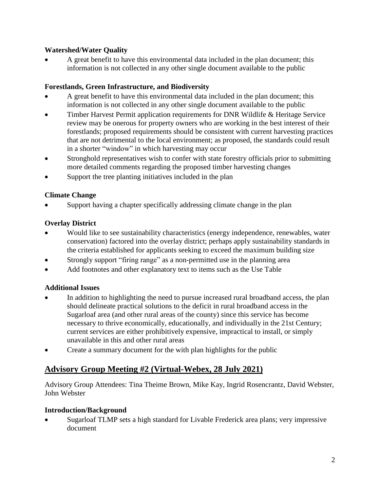## **Watershed/Water Quality**

 A great benefit to have this environmental data included in the plan document; this information is not collected in any other single document available to the public

### **Forestlands, Green Infrastructure, and Biodiversity**

- A great benefit to have this environmental data included in the plan document; this information is not collected in any other single document available to the public
- Timber Harvest Permit application requirements for DNR Wildlife & Heritage Service review may be onerous for property owners who are working in the best interest of their forestlands; proposed requirements should be consistent with current harvesting practices that are not detrimental to the local environment; as proposed, the standards could result in a shorter "window" in which harvesting may occur
- Stronghold representatives wish to confer with state forestry officials prior to submitting more detailed comments regarding the proposed timber harvesting changes
- Support the tree planting initiatives included in the plan

## **Climate Change**

Support having a chapter specifically addressing climate change in the plan

## **Overlay District**

- Would like to see sustainability characteristics (energy independence, renewables, water conservation) factored into the overlay district; perhaps apply sustainability standards in the criteria established for applicants seeking to exceed the maximum building size
- Strongly support "firing range" as a non-permitted use in the planning area
- Add footnotes and other explanatory text to items such as the Use Table

## **Additional Issues**

- In addition to highlighting the need to pursue increased rural broadband access, the plan should delineate practical solutions to the deficit in rural broadband access in the Sugarloaf area (and other rural areas of the county) since this service has become necessary to thrive economically, educationally, and individually in the 21st Century; current services are either prohibitively expensive, impractical to install, or simply unavailable in this and other rural areas
- Create a summary document for the with plan highlights for the public

# **Advisory Group Meeting #2 (Virtual-Webex, 28 July 2021)**

Advisory Group Attendees: Tina Theime Brown, Mike Kay, Ingrid Rosencrantz, David Webster, John Webster

### **Introduction/Background**

 Sugarloaf TLMP sets a high standard for Livable Frederick area plans; very impressive document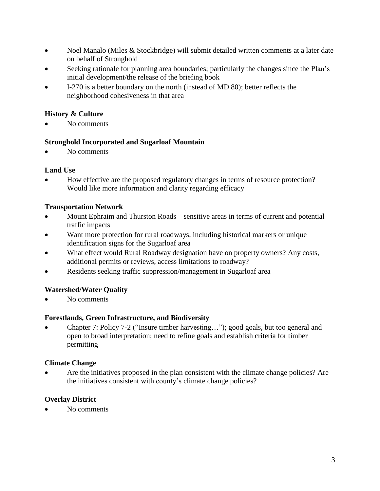- Noel Manalo (Miles & Stockbridge) will submit detailed written comments at a later date on behalf of Stronghold
- Seeking rationale for planning area boundaries; particularly the changes since the Plan's initial development/the release of the briefing book
- I-270 is a better boundary on the north (instead of MD 80); better reflects the neighborhood cohesiveness in that area

## **History & Culture**

No comments

### **Stronghold Incorporated and Sugarloaf Mountain**

No comments

### **Land Use**

 How effective are the proposed regulatory changes in terms of resource protection? Would like more information and clarity regarding efficacy

## **Transportation Network**

- Mount Ephraim and Thurston Roads sensitive areas in terms of current and potential traffic impacts
- Want more protection for rural roadways, including historical markers or unique identification signs for the Sugarloaf area
- What effect would Rural Roadway designation have on property owners? Any costs, additional permits or reviews, access limitations to roadway?
- Residents seeking traffic suppression/management in Sugarloaf area

## **Watershed/Water Quality**

No comments

### **Forestlands, Green Infrastructure, and Biodiversity**

 Chapter 7: Policy 7-2 ("Insure timber harvesting…"); good goals, but too general and open to broad interpretation; need to refine goals and establish criteria for timber permitting

## **Climate Change**

 Are the initiatives proposed in the plan consistent with the climate change policies? Are the initiatives consistent with county's climate change policies?

## **Overlay District**

No comments